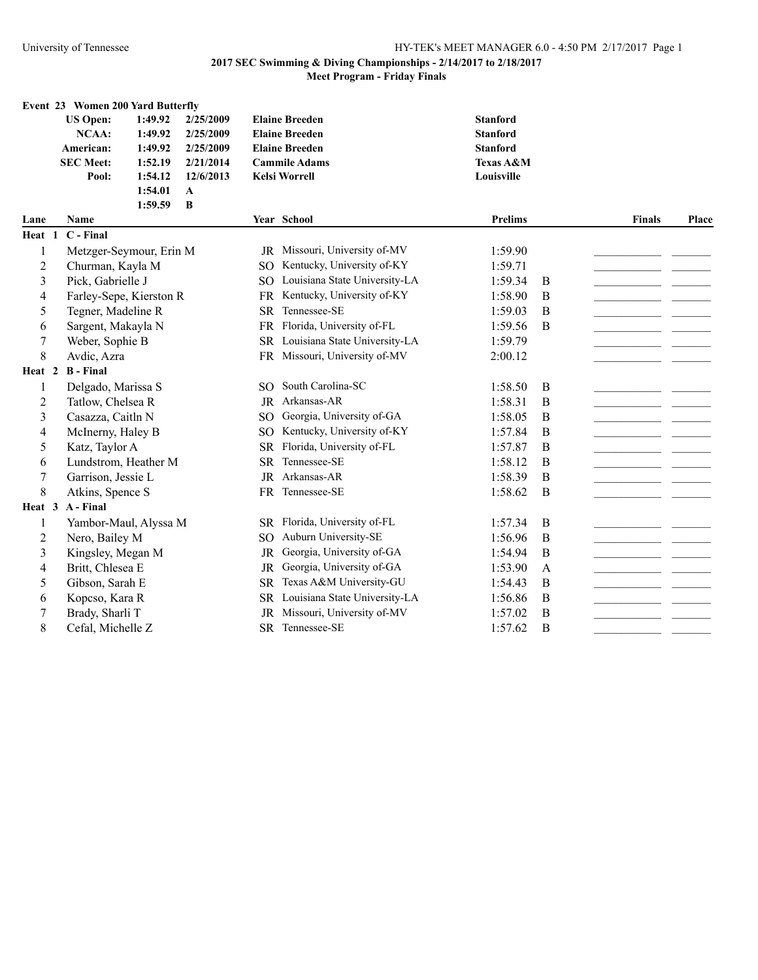# **2017 SEC Swimming & Diving Championships - 2/14/2017 to 2/18/2017**

## **Meet Program - Friday Finals**

|                | Event 23 Women 200 Yard Butterfly |                         |              |                 |                                  |                 |             |               |       |
|----------------|-----------------------------------|-------------------------|--------------|-----------------|----------------------------------|-----------------|-------------|---------------|-------|
|                | <b>US Open:</b>                   | 1:49.92                 | 2/25/2009    |                 | <b>Elaine Breeden</b>            | <b>Stanford</b> |             |               |       |
|                | <b>NCAA:</b>                      | 1:49.92                 | 2/25/2009    |                 | <b>Elaine Breeden</b>            | <b>Stanford</b> |             |               |       |
|                | American:                         | 1:49.92                 | 2/25/2009    |                 | <b>Elaine Breeden</b>            | <b>Stanford</b> |             |               |       |
|                | <b>SEC Meet:</b>                  | 1:52.19                 | 2/21/2014    |                 | <b>Cammile Adams</b>             | Texas A&M       |             |               |       |
|                | Pool:                             | 1:54.12                 | 12/6/2013    |                 | <b>Kelsi Worrell</b>             | Louisville      |             |               |       |
|                |                                   | 1:54.01                 | $\mathbf{A}$ |                 |                                  |                 |             |               |       |
|                |                                   | 1:59.59                 | B            |                 |                                  |                 |             |               |       |
| Lane           | Name                              |                         |              |                 | Year School                      | <b>Prelims</b>  |             | <b>Finals</b> | Place |
| Heat 1         | C - Final                         |                         |              |                 |                                  |                 |             |               |       |
| 1              |                                   | Metzger-Seymour, Erin M |              |                 | JR Missouri, University of-MV    | 1:59.90         |             |               |       |
| $\overline{2}$ | Churman, Kayla M                  |                         |              | SO.             | Kentucky, University of-KY       | 1:59.71         |             |               |       |
| 3              | Pick, Gabrielle J                 |                         |              | SO <sub>1</sub> | Louisiana State University-LA    | 1:59.34         | B           |               |       |
| 4              |                                   | Farley-Sepe, Kierston R |              |                 | FR Kentucky, University of-KY    | 1:58.90         | B           |               |       |
| 5              | Tegner, Madeline R                |                         |              | <b>SR</b>       | Tennessee-SE                     | 1:59.03         | B           |               |       |
| 6              | Sargent, Makayla N                |                         |              |                 | FR Florida, University of-FL     | 1:59.56         | B           |               |       |
| 7              | Weber, Sophie B                   |                         |              |                 | SR Louisiana State University-LA | 1:59.79         |             |               |       |
| 8              | Avdic, Azra                       |                         |              |                 | FR Missouri, University of-MV    | 2:00.12         |             |               |       |
| Heat 2         | <b>B</b> - Final                  |                         |              |                 |                                  |                 |             |               |       |
| 1              | Delgado, Marissa S                |                         |              | SO.             | South Carolina-SC                | 1:58.50         | B           |               |       |
| $\overline{c}$ | Tatlow, Chelsea R                 |                         |              |                 | JR Arkansas-AR                   | 1:58.31         | B           |               |       |
| 3              | Casazza, Caitln N                 |                         |              | SO.             | Georgia, University of-GA        | 1:58.05         | B           |               |       |
| 4              | McInerny, Haley B                 |                         |              | SO <sub>1</sub> | Kentucky, University of-KY       | 1:57.84         | B           |               |       |
| 5              | Katz, Taylor A                    |                         |              | <b>SR</b>       | Florida, University of-FL        | 1:57.87         | B           |               |       |
| 6              |                                   | Lundstrom, Heather M    |              | <b>SR</b>       | Tennessee-SE                     | 1:58.12         | B           |               |       |
| 7              | Garrison, Jessie L                |                         |              |                 | JR Arkansas-AR                   | 1:58.39         | B           |               |       |
| 8              | Atkins, Spence S                  |                         |              |                 | FR Tennessee-SE                  | 1:58.62         | B           |               |       |
|                | Heat 3 A-Final                    |                         |              |                 |                                  |                 |             |               |       |
| 1              |                                   | Yambor-Maul, Alyssa M   |              |                 | SR Florida, University of-FL     | 1:57.34         | B           |               |       |
| 2              | Nero, Bailey M                    |                         |              | <b>SO</b>       | Auburn University-SE             | 1:56.96         | B           |               |       |
| 3              | Kingsley, Megan M                 |                         |              | <b>JR</b>       | Georgia, University of-GA        | 1:54.94         | B           |               |       |
| 4              | Britt, Chlesea E                  |                         |              | <b>JR</b>       | Georgia, University of-GA        | 1:53.90         | A           |               |       |
| 5              | Gibson, Sarah E                   |                         |              | <b>SR</b>       | Texas A&M University-GU          | 1:54.43         | B           |               |       |
| 6              | Kopcso, Kara R                    |                         |              | <b>SR</b>       | Louisiana State University-LA    | 1:56.86         | B           |               |       |
| 7              | Brady, Sharli T                   |                         |              | <b>JR</b>       | Missouri, University of-MV       | 1:57.02         | $\bf{B}$    |               |       |
| $\,8\,$        | Cefal, Michelle Z                 |                         |              |                 | SR Tennessee-SE                  | 1:57.62         | $\mathbf B$ |               |       |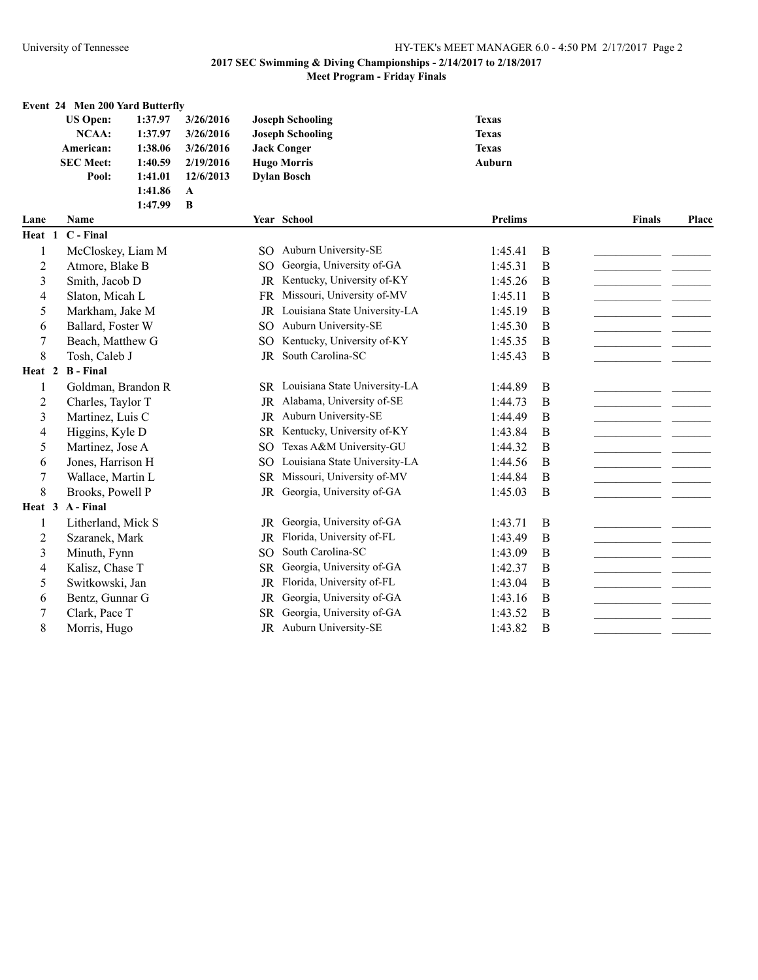|                | Event 24 Men 200 Yard Butterfly |         |              |                 |                                  |                |          |               |       |
|----------------|---------------------------------|---------|--------------|-----------------|----------------------------------|----------------|----------|---------------|-------|
|                | <b>US Open:</b>                 | 1:37.97 | 3/26/2016    |                 | <b>Joseph Schooling</b>          | <b>Texas</b>   |          |               |       |
|                | NCAA:                           | 1:37.97 | 3/26/2016    |                 | <b>Joseph Schooling</b>          | <b>Texas</b>   |          |               |       |
|                | American:                       | 1:38.06 | 3/26/2016    |                 | <b>Jack Conger</b>               | <b>Texas</b>   |          |               |       |
|                | <b>SEC Meet:</b>                | 1:40.59 | 2/19/2016    |                 | <b>Hugo Morris</b>               | Auburn         |          |               |       |
|                | Pool:                           | 1:41.01 | 12/6/2013    |                 | <b>Dylan Bosch</b>               |                |          |               |       |
|                |                                 | 1:41.86 | $\mathbf A$  |                 |                                  |                |          |               |       |
|                |                                 | 1:47.99 | $\, {\bf B}$ |                 |                                  |                |          |               |       |
| Lane           | Name                            |         |              |                 | Year School                      | <b>Prelims</b> |          | <b>Finals</b> | Place |
| Heat 1         | C - Final                       |         |              |                 |                                  |                |          |               |       |
| 1              | McCloskey, Liam M               |         |              |                 | SO Auburn University-SE          | 1:45.41        | B        |               |       |
| 2              | Atmore, Blake B                 |         |              | SO.             | Georgia, University of-GA        | 1:45.31        | B        |               |       |
| 3              | Smith, Jacob D                  |         |              | $_{\rm JR}$     | Kentucky, University of-KY       | 1:45.26        | B        |               |       |
| 4              | Slaton, Micah L                 |         |              | <b>FR</b>       | Missouri, University of-MV       | 1:45.11        | B        |               |       |
| 5              | Markham, Jake M                 |         |              | JR              | Louisiana State University-LA    | 1:45.19        | B        |               |       |
| 6              | Ballard, Foster W               |         |              | SO.             | Auburn University-SE             | 1:45.30        | B        |               |       |
| 7              | Beach, Matthew G                |         |              | SO <sub>1</sub> | Kentucky, University of-KY       | 1:45.35        | B        |               |       |
| 8              | Tosh, Caleb J                   |         |              | <b>JR</b>       | South Carolina-SC                | 1:45.43        | B        |               |       |
| Heat 2         | <b>B</b> - Final                |         |              |                 |                                  |                |          |               |       |
| 1              | Goldman, Brandon R              |         |              |                 | SR Louisiana State University-LA | 1:44.89        | $\bf{B}$ |               |       |
| 2              | Charles, Taylor T               |         |              |                 | JR Alabama, University of-SE     | 1:44.73        | B        |               |       |
| 3              | Martinez, Luis C                |         |              |                 | JR Auburn University-SE          | 1:44.49        | B        |               |       |
| 4              | Higgins, Kyle D                 |         |              |                 | SR Kentucky, University of-KY    | 1:43.84        | B        |               |       |
| 5              | Martinez, Jose A                |         |              | <sub>SO</sub>   | Texas A&M University-GU          | 1:44.32        | B        |               |       |
| 6              | Jones, Harrison H               |         |              | SO.             | Louisiana State University-LA    | 1:44.56        | B        |               |       |
| 7              | Wallace, Martin L               |         |              | SR              | Missouri, University of-MV       | 1:44.84        | B        |               |       |
| 8              | Brooks, Powell P                |         |              | <b>JR</b>       | Georgia, University of-GA        | 1:45.03        | B        |               |       |
| Heat 3         | A - Final                       |         |              |                 |                                  |                |          |               |       |
| 1              | Litherland, Mick S              |         |              | JR              | Georgia, University of-GA        | 1:43.71        | B        |               |       |
| $\overline{c}$ | Szaranek, Mark                  |         |              | JR              | Florida, University of-FL        | 1:43.49        | B        |               |       |
| 3              | Minuth, Fynn                    |         |              | SO <sub>1</sub> | South Carolina-SC                | 1:43.09        | B        |               |       |
| 4              | Kalisz, Chase T                 |         |              | <b>SR</b>       | Georgia, University of-GA        | 1:42.37        | B        |               |       |
| 5              | Switkowski, Jan                 |         |              | <b>JR</b>       | Florida, University of-FL        | 1:43.04        | B        |               |       |
| 6              | Bentz, Gunnar G                 |         |              | <b>JR</b>       | Georgia, University of-GA        | 1:43.16        | B        |               |       |
| 7              | Clark, Pace T                   |         |              | SR              | Georgia, University of-GA        | 1:43.52        | B        |               |       |
| 8              | Morris, Hugo                    |         |              |                 | JR Auburn University-SE          | 1:43.82        | B        |               |       |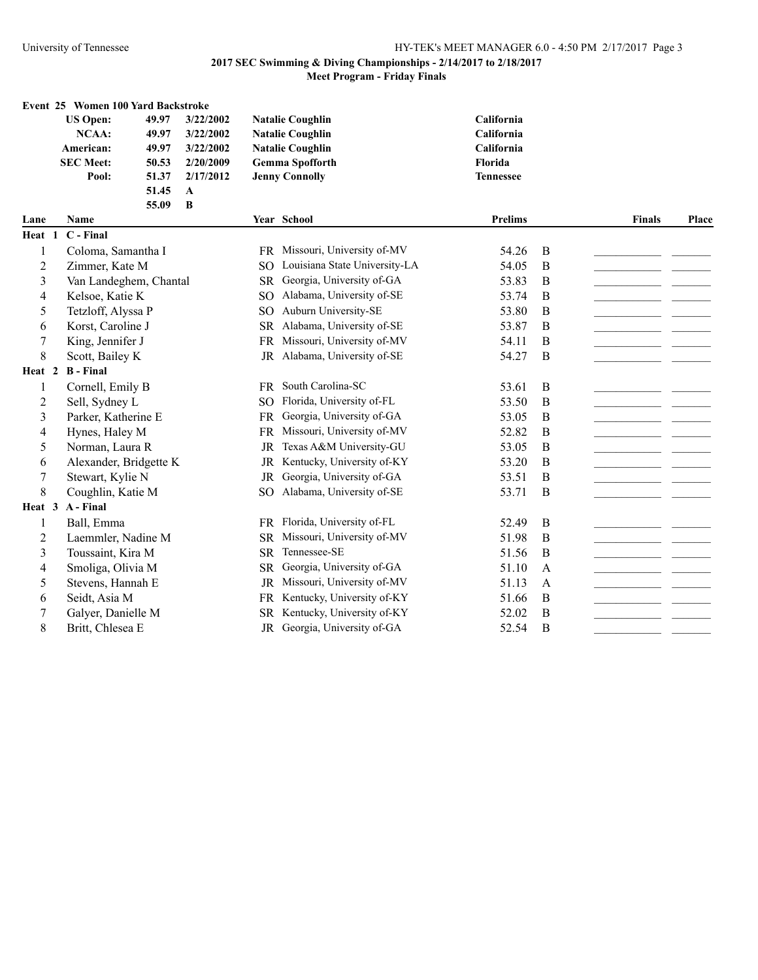#### **Event 25 Women 100 Yard Backstroke**

| <b>US Open:</b>  | 49.97 | 3/22/2002   | <b>Natalie Coughlin</b> | <b>California</b> |
|------------------|-------|-------------|-------------------------|-------------------|
| NCAA:            | 49.97 | 3/22/2002   | <b>Natalie Coughlin</b> | <b>California</b> |
| American:        | 49.97 | 3/22/2002   | <b>Natalie Coughlin</b> | <b>California</b> |
| <b>SEC Meet:</b> | 50.53 | 2/20/2009   | <b>Gemma Spofforth</b>  | <b>Florida</b>    |
| Pool:            | 51.37 | 2/17/2012   | <b>Jenny Connolly</b>   | <b>Tennessee</b>  |
|                  | 51.45 | $\mathbf A$ |                         |                   |

|                   | 55.09<br>B             |               |                               |                |              |               |       |
|-------------------|------------------------|---------------|-------------------------------|----------------|--------------|---------------|-------|
| Lane              | <b>Name</b>            |               | Year School                   | <b>Prelims</b> |              | <b>Finals</b> | Place |
| Heat 1            | C - Final              |               |                               |                |              |               |       |
| 1                 | Coloma, Samantha I     | FR.           | Missouri, University of-MV    | 54.26          | B            |               |       |
| 2                 | Zimmer, Kate M         | SO.           | Louisiana State University-LA | 54.05          | B            |               |       |
| 3                 | Van Landeghem, Chantal | <b>SR</b>     | Georgia, University of-GA     | 53.83          | B            |               |       |
| 4                 | Kelsoe, Katie K        | SO            | Alabama, University of-SE     | 53.74          | B            |               |       |
| 5                 | Tetzloff, Alyssa P     | SO            | Auburn University-SE          | 53.80          | B            |               |       |
| 6                 | Korst, Caroline J      | <b>SR</b>     | Alabama, University of-SE     | 53.87          | B            |               |       |
| 7                 | King, Jennifer J       | <b>FR</b>     | Missouri, University of-MV    | 54.11          | B            |               |       |
| 8                 | Scott, Bailey K        | JR            | Alabama, University of-SE     | 54.27          | B            |               |       |
| Heat <sub>2</sub> | <b>B</b> - Final       |               |                               |                |              |               |       |
| 1                 | Cornell, Emily B       | FR.           | South Carolina-SC             | 53.61          | B            |               |       |
| 2                 | Sell, Sydney L         | <sub>SO</sub> | Florida, University of-FL     | 53.50          | B            |               |       |
| 3                 | Parker, Katherine E    | <b>FR</b>     | Georgia, University of-GA     | 53.05          | B            |               |       |
| 4                 | Hynes, Haley M         | <b>FR</b>     | Missouri, University of-MV    | 52.82          | B            |               |       |
| 5                 | Norman, Laura R        | JR            | Texas A&M University-GU       | 53.05          | B            |               |       |
| 6                 | Alexander, Bridgette K | JR            | Kentucky, University of-KY    | 53.20          | B            |               |       |
| 7                 | Stewart, Kylie N       | <b>JR</b>     | Georgia, University of-GA     | 53.51          | B            |               |       |
| 8                 | Coughlin, Katie M      | SO.           | Alabama, University of-SE     | 53.71          | B            |               |       |
| Heat 3            | A - Final              |               |                               |                |              |               |       |
| 1                 | Ball, Emma             | FR            | Florida, University of-FL     | 52.49          | B            |               |       |
| $\overline{c}$    | Laemmler, Nadine M     | <b>SR</b>     | Missouri, University of-MV    | 51.98          | B            |               |       |
| 3                 | Toussaint, Kira M      | <b>SR</b>     | Tennessee-SE                  | 51.56          | B            |               |       |
| 4                 | Smoliga, Olivia M      | <b>SR</b>     | Georgia, University of-GA     | 51.10          | $\mathsf{A}$ |               |       |
| 5                 | Stevens, Hannah E      | <b>JR</b>     | Missouri, University of-MV    | 51.13          | A            |               |       |
| 6                 | Seidt, Asia M          | <b>FR</b>     | Kentucky, University of-KY    | 51.66          | B            |               |       |
| 7                 | Galyer, Danielle M     | <b>SR</b>     | Kentucky, University of-KY    | 52.02          | B            |               |       |
| 8                 | Britt, Chlesea E       | JR            | Georgia, University of-GA     | 52.54          | B            |               |       |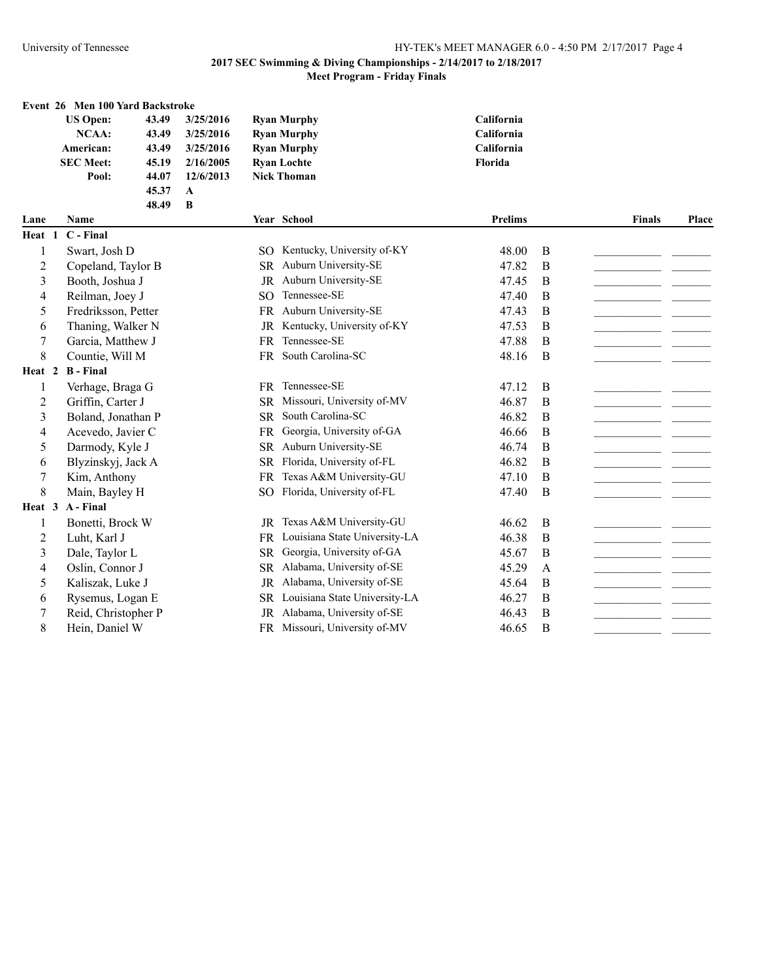### **Event 26 Men 100 Yard Backstroke**

**48.49 B**

| <b>US Open:</b>  | 43.49 | 3/25/2016 | <b>Ryan Murphy</b> | <b>California</b> |
|------------------|-------|-----------|--------------------|-------------------|
| NCAA:            | 43.49 | 3/25/2016 | <b>Ryan Murphy</b> | <b>California</b> |
| American:        | 43.49 | 3/25/2016 | <b>Ryan Murphy</b> | <b>California</b> |
| <b>SEC Meet:</b> | 45.19 | 2/16/2005 | <b>Ryan Lochte</b> | Florida           |
| Pool:            | 44.07 | 12/6/2013 | <b>Nick Thoman</b> |                   |
|                  | 45.37 | A         |                    |                   |

| Lane           | <b>Name</b>         |               | Year School                   | <b>Prelims</b> |   | <b>Finals</b> | Place |
|----------------|---------------------|---------------|-------------------------------|----------------|---|---------------|-------|
| Heat 1         | C - Final           |               |                               |                |   |               |       |
|                | Swart, Josh D       | SO.           | Kentucky, University of-KY    | 48.00          | B |               |       |
| 2              | Copeland, Taylor B  | <b>SR</b>     | Auburn University-SE          | 47.82          | B |               |       |
| 3              | Booth, Joshua J     | <b>JR</b>     | Auburn University-SE          | 47.45          | B |               |       |
| 4              | Reilman, Joey J     | <sub>SO</sub> | Tennessee-SE                  | 47.40          | B |               |       |
| 5              | Fredriksson, Petter | <b>FR</b>     | Auburn University-SE          | 47.43          | B |               |       |
| 6              | Thaning, Walker N   | <b>JR</b>     | Kentucky, University of-KY    | 47.53          | B |               |       |
| 7              | Garcia, Matthew J   | <b>FR</b>     | Tennessee-SE                  | 47.88          | B |               |       |
| $\,8\,$        | Countie, Will M     | <b>FR</b>     | South Carolina-SC             | 48.16          | B |               |       |
| Heat 2         | <b>B</b> - Final    |               |                               |                |   |               |       |
| 1              | Verhage, Braga G    | <b>FR</b>     | Tennessee-SE                  | 47.12          | B |               |       |
| 2              | Griffin, Carter J   | <b>SR</b>     | Missouri, University of-MV    | 46.87          | B |               |       |
| 3              | Boland, Jonathan P  | <b>SR</b>     | South Carolina-SC             | 46.82          | B |               |       |
| 4              | Acevedo, Javier C   | <b>FR</b>     | Georgia, University of-GA     | 46.66          | B |               |       |
| 5              | Darmody, Kyle J     | SR            | Auburn University-SE          | 46.74          | B |               |       |
| 6              | Blyzinskyj, Jack A  | <b>SR</b>     | Florida, University of-FL     | 46.82          | B |               |       |
| $\sqrt{ }$     | Kim, Anthony        | FR.           | Texas A&M University-GU       | 47.10          | B |               |       |
| $\,8\,$        | Main, Bayley H      | <sub>SO</sub> | Florida, University of-FL     | 47.40          | B |               |       |
| Heat 3         | A - Final           |               |                               |                |   |               |       |
| 1              | Bonetti, Brock W    | JR            | Texas A&M University-GU       | 46.62          | B |               |       |
| $\overline{c}$ | Luht, Karl J        | <b>FR</b>     | Louisiana State University-LA | 46.38          | B |               |       |
| 3              | Dale, Taylor L      | SR            | Georgia, University of-GA     | 45.67          | B |               |       |
| 4              | Oslin, Connor J     | <b>SR</b>     | Alabama, University of-SE     | 45.29          | A |               |       |
| 5              | Kaliszak, Luke J    | <b>JR</b>     | Alabama, University of-SE     | 45.64          | B |               |       |
| 6              | Rysemus, Logan E    | <b>SR</b>     | Louisiana State University-LA | 46.27          | B |               |       |
| 7              | Reid, Christopher P | JR            | Alabama, University of-SE     | 46.43          | B |               |       |
| $\,8\,$        | Hein, Daniel W      | FR -          | Missouri, University of-MV    | 46.65          | B |               |       |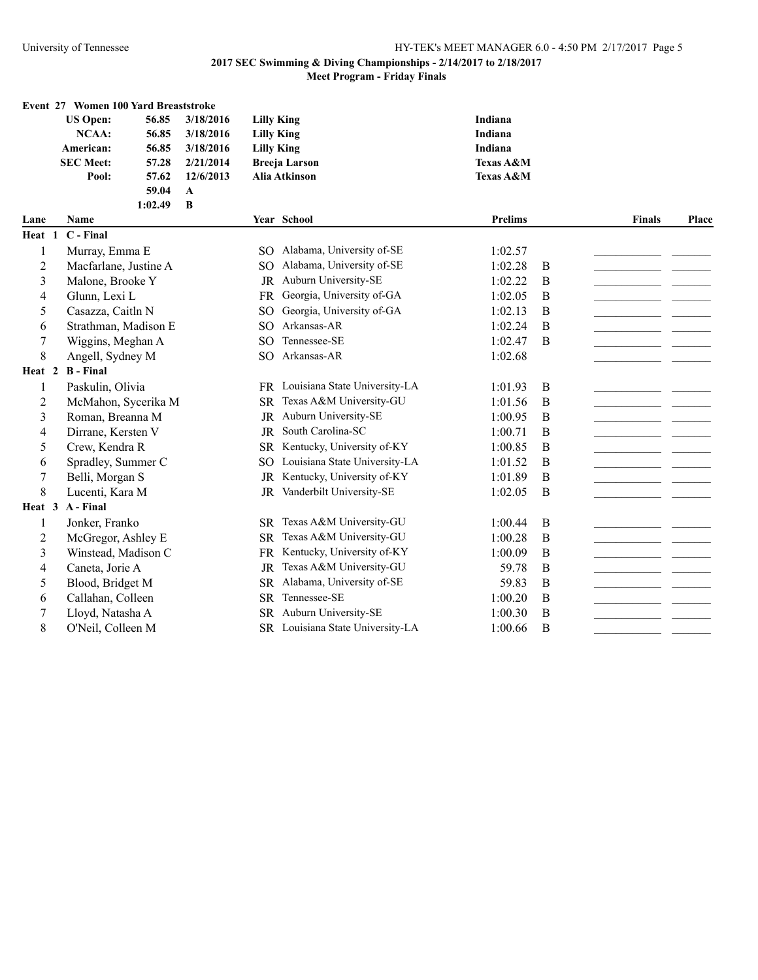|                | Event 27 Women 100 Yard Breaststroke |         |              |                   |                                  |                      |              |               |       |
|----------------|--------------------------------------|---------|--------------|-------------------|----------------------------------|----------------------|--------------|---------------|-------|
|                | <b>US Open:</b>                      | 56.85   | 3/18/2016    | <b>Lilly King</b> |                                  | Indiana              |              |               |       |
|                | NCAA:                                | 56.85   | 3/18/2016    | <b>Lilly King</b> |                                  | Indiana              |              |               |       |
|                | American:                            | 56.85   | 3/18/2016    | <b>Lilly King</b> |                                  | Indiana              |              |               |       |
|                | <b>SEC Meet:</b>                     | 57.28   | 2/21/2014    |                   | <b>Breeja Larson</b>             | <b>Texas A&amp;M</b> |              |               |       |
|                | Pool:                                | 57.62   | 12/6/2013    |                   | Alia Atkinson                    | Texas A&M            |              |               |       |
|                |                                      | 59.04   | $\mathbf{A}$ |                   |                                  |                      |              |               |       |
|                |                                      | 1:02.49 | B            |                   |                                  |                      |              |               |       |
| Lane           | Name                                 |         |              |                   | Year School                      | <b>Prelims</b>       |              | <b>Finals</b> | Place |
| Heat 1         | C - Final                            |         |              |                   |                                  |                      |              |               |       |
| 1              | Murray, Emma E                       |         |              | SO.               | Alabama, University of-SE        | 1:02.57              |              |               |       |
| 2              | Macfarlane, Justine A                |         |              | SO.               | Alabama, University of-SE        | 1:02.28              | B            |               |       |
| 3              | Malone, Brooke Y                     |         |              | <b>JR</b>         | Auburn University-SE             | 1:02.22              | B            |               |       |
| 4              | Glunn, Lexi L                        |         |              | <b>FR</b>         | Georgia, University of-GA        | 1:02.05              | B            |               |       |
| 5              | Casazza, Caitln N                    |         |              | SO <sub>1</sub>   | Georgia, University of-GA        | 1:02.13              | B            |               |       |
| 6              | Strathman, Madison E                 |         |              | SO <sub>1</sub>   | Arkansas-AR                      | 1:02.24              | B            |               |       |
| 7              | Wiggins, Meghan A                    |         |              | SO <sub>1</sub>   | Tennessee-SE                     | 1:02.47              | B            |               |       |
| 8              | Angell, Sydney M                     |         |              | SO <sub>1</sub>   | Arkansas-AR                      | 1:02.68              |              |               |       |
| Heat 2         | <b>B</b> - Final                     |         |              |                   |                                  |                      |              |               |       |
| 1              | Paskulin, Olivia                     |         |              |                   | FR Louisiana State University-LA | 1:01.93              | $\bf{B}$     |               |       |
| 2              | McMahon, Sycerika M                  |         |              |                   | SR Texas A&M University-GU       | 1:01.56              | B            |               |       |
| 3              | Roman, Breanna M                     |         |              | JR                | Auburn University-SE             | 1:00.95              | B            |               |       |
| 4              | Dirrane, Kersten V                   |         |              | JR                | South Carolina-SC                | 1:00.71              | B            |               |       |
| 5              | Crew, Kendra R                       |         |              | <b>SR</b>         | Kentucky, University of-KY       | 1:00.85              | B            |               |       |
| 6              | Spradley, Summer C                   |         |              | SO.               | Louisiana State University-LA    | 1:01.52              | $\mathbf B$  |               |       |
| 7              | Belli, Morgan S                      |         |              |                   | JR Kentucky, University of-KY    | 1:01.89              | B            |               |       |
| 8              | Lucenti, Kara M                      |         |              | JR                | Vanderbilt University-SE         | 1:02.05              | B            |               |       |
|                | Heat 3 A-Final                       |         |              |                   |                                  |                      |              |               |       |
| 1              | Jonker, Franko                       |         |              |                   | SR Texas A&M University-GU       | 1:00.44              | B            |               |       |
| $\overline{2}$ | McGregor, Ashley E                   |         |              | <b>SR</b>         | Texas A&M University-GU          | 1:00.28              | $\, {\bf B}$ |               |       |
| 3              | Winstead, Madison C                  |         |              | FR                | Kentucky, University of-KY       | 1:00.09              | $\bf{B}$     |               |       |
| 4              | Caneta, Jorie A                      |         |              | <b>JR</b>         | Texas A&M University-GU          | 59.78                | B            |               |       |
| 5              | Blood, Bridget M                     |         |              | <b>SR</b>         | Alabama, University of-SE        | 59.83                | B            |               |       |
| 6              | Callahan, Colleen                    |         |              | <b>SR</b>         | Tennessee-SE                     | 1:00.20              | B            |               |       |
| 7              | Lloyd, Natasha A                     |         |              | SR                | Auburn University-SE             | 1:00.30              | B            |               |       |
| 8              | O'Neil, Colleen M                    |         |              |                   | SR Louisiana State University-LA | 1:00.66              | B            |               |       |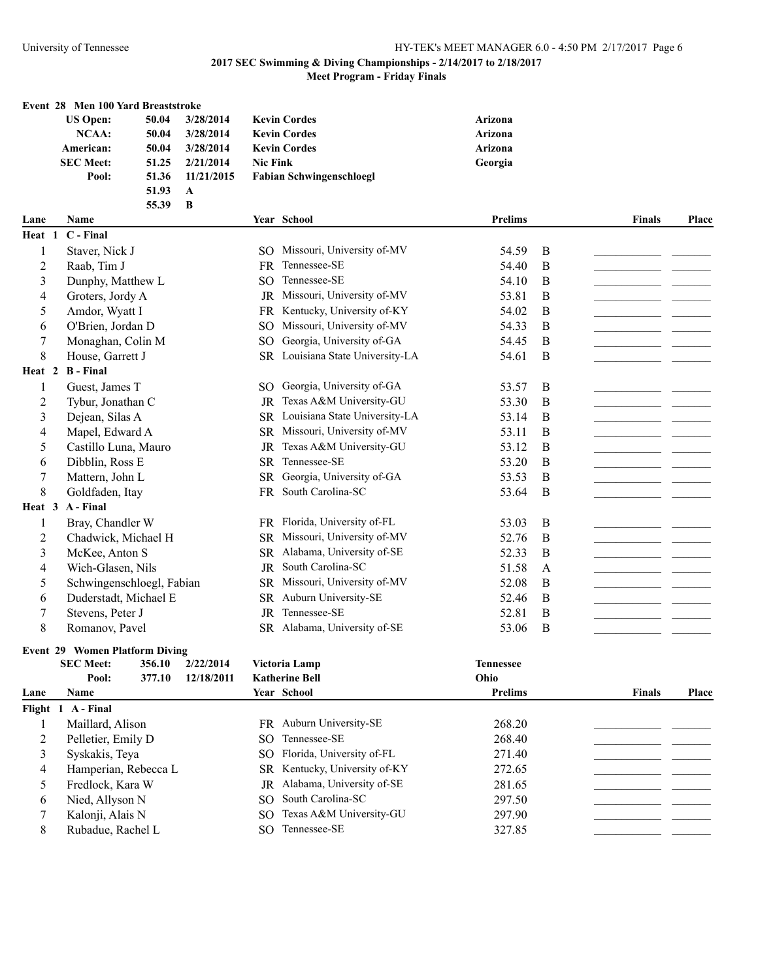|                |                  | Event 28 Men 100 Yard Breaststroke    |            |                 |                                  |                  |          |               |       |
|----------------|------------------|---------------------------------------|------------|-----------------|----------------------------------|------------------|----------|---------------|-------|
|                | <b>US Open:</b>  | 50.04                                 | 3/28/2014  |                 | <b>Kevin Cordes</b>              | Arizona          |          |               |       |
|                | <b>NCAA:</b>     | 50.04                                 | 3/28/2014  |                 | <b>Kevin Cordes</b>              | Arizona          |          |               |       |
|                | American:        | 50.04                                 | 3/28/2014  |                 | <b>Kevin Cordes</b>              | Arizona          |          |               |       |
|                | <b>SEC Meet:</b> | 51.25                                 | 2/21/2014  | <b>Nic Fink</b> |                                  | Georgia          |          |               |       |
|                | Pool:            | 51.36                                 | 11/21/2015 |                 | <b>Fabian Schwingenschloegl</b>  |                  |          |               |       |
|                |                  | 51.93                                 | A          |                 |                                  |                  |          |               |       |
|                |                  | 55.39                                 | B          |                 |                                  |                  |          |               |       |
| Lane           | Name             |                                       |            |                 | Year School                      | <b>Prelims</b>   |          | <b>Finals</b> | Place |
| Heat 1         | C - Final        |                                       |            |                 |                                  |                  |          |               |       |
| 1              | Staver, Nick J   |                                       |            |                 | SO Missouri, University of-MV    | 54.59            | B        |               |       |
| 2              | Raab, Tim J      |                                       |            | <b>FR</b>       | Tennessee-SE                     | 54.40            | B        |               |       |
| 3              |                  | Dunphy, Matthew L                     |            | SO <sub>1</sub> | Tennessee-SE                     | 54.10            | B        |               |       |
| 4              |                  | Groters, Jordy A                      |            | JR              | Missouri, University of-MV       | 53.81            | B        |               |       |
| 5              | Amdor, Wyatt I   |                                       |            | <b>FR</b>       | Kentucky, University of-KY       | 54.02            | B        |               |       |
| 6              |                  | O'Brien, Jordan D                     |            | SO <sub>1</sub> | Missouri, University of-MV       | 54.33            | B        |               |       |
| 7              |                  | Monaghan, Colin M                     |            | <sub>SO</sub>   | Georgia, University of-GA        | 54.45            | B        |               |       |
| 8              | House, Garrett J |                                       |            |                 | SR Louisiana State University-LA | 54.61            | B        |               |       |
| Heat 2         | <b>B</b> - Final |                                       |            |                 |                                  |                  |          |               |       |
| 1              | Guest, James T   |                                       |            |                 | SO Georgia, University of-GA     | 53.57            | B        |               |       |
| $\overline{c}$ |                  | Tybur, Jonathan C                     |            | JR              | Texas A&M University-GU          | 53.30            | $\bf{B}$ |               |       |
| 3              | Dejean, Silas A  |                                       |            |                 | SR Louisiana State University-LA | 53.14            | $\bf{B}$ |               |       |
| 4              |                  | Mapel, Edward A                       |            | SR              | Missouri, University of-MV       | 53.11            | B        |               |       |
| 5              |                  | Castillo Luna, Mauro                  |            | JR              | Texas A&M University-GU          | 53.12            | B        |               |       |
| 6              | Dibblin, Ross E  |                                       |            | <b>SR</b>       | Tennessee-SE                     | 53.20            | B        |               |       |
|                | Mattern, John L  |                                       |            | <b>SR</b>       | Georgia, University of-GA        | 53.53            | B        |               |       |
| 7              |                  |                                       |            |                 | South Carolina-SC                |                  |          |               |       |
| 8              | Goldfaden, Itay  |                                       |            | FR              |                                  | 53.64            | B        |               |       |
|                | Heat 3 A - Final |                                       |            |                 |                                  |                  |          |               |       |
| 1              |                  | Bray, Chandler W                      |            |                 | FR Florida, University of-FL     | 53.03            | $\bf{B}$ |               |       |
| $\overline{c}$ |                  | Chadwick, Michael H                   |            | <b>SR</b>       | Missouri, University of-MV       | 52.76            | B        |               |       |
| 3              |                  | McKee, Anton S                        |            | <b>SR</b>       | Alabama, University of-SE        | 52.33            | B        |               |       |
| 4              |                  | Wich-Glasen, Nils                     |            | $\rm JR$        | South Carolina-SC                | 51.58            | A        |               |       |
| 5              |                  | Schwingenschloegl, Fabian             |            | <b>SR</b>       | Missouri, University of-MV       | 52.08            | B        |               |       |
| 6              |                  | Duderstadt, Michael E                 |            | <b>SR</b>       | Auburn University-SE             | 52.46            | B        |               |       |
| 7              | Stevens, Peter J |                                       |            | JR              | Tennessee-SE                     | 52.81            | B        |               |       |
| 8              | Romanov, Pavel   |                                       |            |                 | SR Alabama, University of-SE     | 53.06            | B        |               |       |
|                |                  | <b>Event 29 Women Platform Diving</b> |            |                 |                                  |                  |          |               |       |
|                | <b>SEC Meet:</b> | 356.10                                | 2/22/2014  |                 | Victoria Lamp                    | <b>Tennessee</b> |          |               |       |
|                | Pool:            | 377.10                                | 12/18/2011 |                 | <b>Katherine Bell</b>            | Ohio             |          |               |       |
| Lane           | Name             |                                       |            |                 | Year School                      | <b>Prelims</b>   |          | <b>Finals</b> | Place |
|                | Flight 1 A-Final |                                       |            |                 |                                  |                  |          |               |       |
| 1              | Maillard, Alison |                                       |            |                 | FR Auburn University-SE          | 268.20           |          |               |       |
| 2              |                  | Pelletier, Emily D                    |            | SO.             | Tennessee-SE                     | 268.40           |          |               |       |
| 3              | Syskakis, Teya   |                                       |            | SO.             | Florida, University of-FL        | 271.40           |          |               |       |
| 4              |                  | Hamperian, Rebecca L                  |            | SR              | Kentucky, University of-KY       | 272.65           |          |               |       |
| 5              |                  | Fredlock, Kara W                      |            | JR              | Alabama, University of-SE        | 281.65           |          |               |       |
|                | Nied, Allyson N  |                                       |            | SO <sub>1</sub> | South Carolina-SC                | 297.50           |          |               |       |
| 6              |                  |                                       |            |                 | Texas A&M University-GU          |                  |          |               |       |
| 7              | Kalonji, Alais N |                                       |            | SO.             |                                  | 297.90           |          |               |       |

Rubadue, Rachel L SO Tennessee-SE 327.85 \_\_\_\_\_\_\_\_\_\_\_\_\_\_\_\_\_\_\_\_\_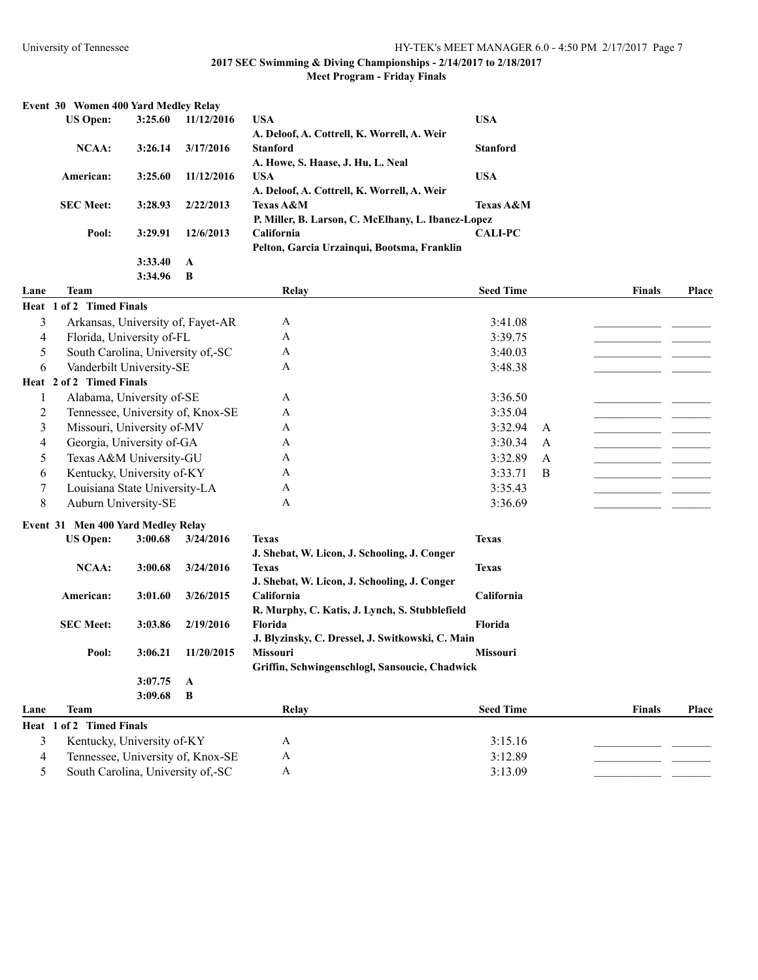| Event 30 Women 400 Yard Medley Relay |         |            |                                                    |                      |  |
|--------------------------------------|---------|------------|----------------------------------------------------|----------------------|--|
| <b>US Open:</b>                      | 3:25.60 | 11/12/2016 | <b>USA</b>                                         | <b>USA</b>           |  |
|                                      |         |            | A. Deloof, A. Cottrell, K. Worrell, A. Weir        |                      |  |
| NCAA:                                | 3:26.14 | 3/17/2016  | <b>Stanford</b>                                    | <b>Stanford</b>      |  |
|                                      |         |            | A. Howe, S. Haase, J. Hu, L. Neal                  |                      |  |
| American:                            | 3:25.60 | 11/12/2016 | <b>USA</b>                                         | <b>USA</b>           |  |
|                                      |         |            | A. Deloof, A. Cottrell, K. Worrell, A. Weir        |                      |  |
| <b>SEC Meet:</b>                     | 3:28.93 | 2/22/2013  | <b>Texas A&amp;M</b>                               | <b>Texas A&amp;M</b> |  |
|                                      |         |            | P. Miller, B. Larson, C. McElhany, L. Ibanez-Lopez |                      |  |
| Pool:                                | 3:29.91 | 12/6/2013  | <b>California</b>                                  | <b>CALI-PC</b>       |  |
|                                      |         |            | Pelton, Garcia Urzaingui, Bootsma, Franklin        |                      |  |
|                                      | 3:33.40 | A          |                                                    |                      |  |
|                                      | 3:34.96 | -B         |                                                    |                      |  |
|                                      |         |            |                                                    |                      |  |

| Lane           | <b>Team</b>                       | Relay | <b>Seed Time</b> | <b>Finals</b> | Place |
|----------------|-----------------------------------|-------|------------------|---------------|-------|
|                | Heat 1 of 2 Timed Finals          |       |                  |               |       |
| 3              | Arkansas, University of, Fayet-AR | A     | 3:41.08          |               |       |
| 4              | Florida, University of-FL         | A     | 3:39.75          |               |       |
| 5              | South Carolina, University of,-SC | A     | 3:40.03          |               |       |
| 6              | Vanderbilt University-SE          | A     | 3:48.38          |               |       |
|                | Heat 2 of 2 Timed Finals          |       |                  |               |       |
|                | Alabama, University of-SE         | A     | 3:36.50          |               |       |
| $\mathfrak{D}$ | Tennessee, University of, Knox-SE | A     | 3:35.04          |               |       |
| 3              | Missouri, University of-MV        | A     | 3:32.94<br>A     |               |       |
| 4              | Georgia, University of-GA         | A     | 3:30.34<br>A     |               |       |
| 5              | Texas A&M University-GU           | A     | 3:32.89<br>A     |               |       |
| 6              | Kentucky, University of-KY        | A     | 3:33.71<br>B     |               |       |
|                | Louisiana State University-LA     | A     | 3:35.43          |               |       |
| 8              | Auburn University-SE              | A     | 3:36.69          |               |       |

#### **Event 31 Men 400 Yard Medley Relay**

| <b>US Open:</b>  | 3:00.68 | 3/24/2016  | Texas                                            | <b>Texas</b>      |
|------------------|---------|------------|--------------------------------------------------|-------------------|
|                  |         |            | J. Shebat, W. Licon, J. Schooling, J. Conger     |                   |
| NCAA:            | 3:00.68 | 3/24/2016  | <b>Texas</b>                                     | <b>Texas</b>      |
|                  |         |            | J. Shebat, W. Licon, J. Schooling, J. Conger     |                   |
| American:        | 3:01.60 | 3/26/2015  | <b>California</b>                                | <b>California</b> |
|                  |         |            | R. Murphy, C. Katis, J. Lynch, S. Stubblefield   |                   |
| <b>SEC Meet:</b> | 3:03.86 | 2/19/2016  | <b>Florida</b>                                   | <b>Florida</b>    |
|                  |         |            | J. Blyzinsky, C. Dressel, J. Switkowski, C. Main |                   |
| Pool:            | 3:06.21 | 11/20/2015 | <b>Missouri</b>                                  | <b>Missouri</b>   |
|                  |         |            | Griffin, Schwingenschlogl, Sansoucie, Chadwick   |                   |
|                  | 3:07.75 | A          |                                                  |                   |
|                  | 3:09.68 | B          |                                                  |                   |
|                  |         |            |                                                  |                   |

## **Lane Team Relay Seed Time Finals Place Heat 1 of 2 Timed Finals** 3 Kentucky, University of-KY A 3:15.16 4 Tennessee, University of, Knox-SE A 3:12.89 5 South Carolina, University of,-SC A 3:13.09